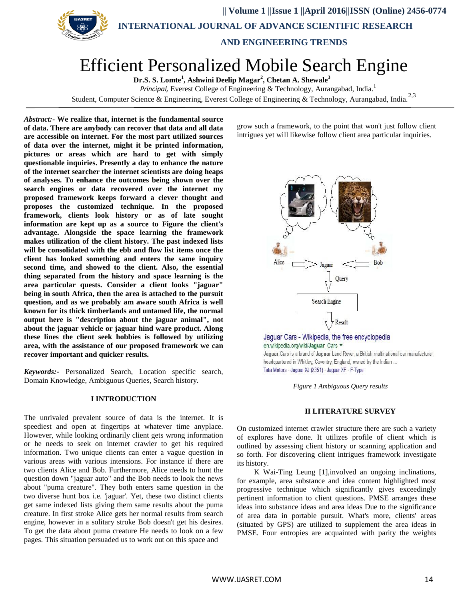

 **|| Volume 1 ||Issue 1 ||April 2016||ISSN (Online) 2456-0774 INTERNATIONAL JOURNAL OF ADVANCE SCIENTIFIC RESEARCH** 

 **AND ENGINEERING TRENDS**

# Efficient Personalized Mobile Search Engine

**Dr.S. S. Lomte 1 , Ashwini Deelip Magar<sup>2</sup> , Chetan A. Shewale<sup>3</sup>**

*Principal,* Everest College of Engineering & Technology, Aurangabad, India.<sup>1</sup>

Student, Computer Science & Engineering, Everest College of Engineering & Technology, Aurangabad, India.<sup>2,3</sup>

*Abstract:***- We realize that, internet is the fundamental source of data. There are anybody can recover that data and all data are accessible on internet. For the most part utilized sources of data over the internet, might it be printed information, pictures or areas which are hard to get with simply questionable inquiries. Presently a day to enhance the nature of the internet searcher the internet scientists are doing heaps of analyses. To enhance the outcomes being shown over the search engines or data recovered over the internet my proposed framework keeps forward a clever thought and proposes the customized technique. In the proposed framework, clients look history or as of late sought information are kept up as a source to Figure the client's advantage. Alongside the space learning the framework makes utilization of the client history. The past indexed lists will be consolidated with the ebb and flow list items once the client has looked something and enters the same inquiry second time, and showed to the client. Also, the essential thing separated from the history and space learning is the area particular quests. Consider a client looks "jaguar" being in south Africa, then the area is attached to the pursuit question, and as we probably am aware south Africa is well known for its thick timberlands and untamed life, the normal output here is "description about the jaguar animal", not about the jaguar vehicle or jaguar hind ware product. Along these lines the client seek hobbies is followed by utilizing area, with the assistance of our proposed framework we can recover important and quicker results.**

*Keywords:-* Personalized Search, Location specific search, Domain Knowledge, Ambiguous Queries, Search history.

#### **I INTRODUCTION**

The unrivaled prevalent source of data is the internet. It is speediest and open at fingertips at whatever time anyplace. However, while looking ordinarily client gets wrong information or he needs to seek on internet crawler to get his required information. Two unique clients can enter a vague question in various areas with various intensions. For instance if there are two clients Alice and Bob. Furthermore, Alice needs to hunt the question down "jaguar auto" and the Bob needs to look the news about "puma creature". They both enters same question in the two diverse hunt box i.e. 'jaguar'. Yet, these two distinct clients get same indexed lists giving them same results about the puma creature. In first stroke Alice gets her normal results from search engine, however in a solitary stroke Bob doesn't get his desires. To get the data about puma creature He needs to look on a few pages. This situation persuaded us to work out on this space and

grow such a framework, to the point that won't just follow client intrigues yet will likewise follow client area particular inquiries.



Jaguar Cars - Wikipedia, the free encyclopedia en.wikipedia.org/wiki/Jaguar\_Cars ▼ Jaguar Cars is a brand of Jaguar Land Rover, a British multinational car manufacturer headquartered in Whitley, Coventry, England, owned by the Indian ... Tata Motors - Jaguar XJ (X351) - Jaguar XF - F-Type

*Figure 1 Ambiguous Query results*

#### **II LITERATURE SURVEY**

On customized internet crawler structure there are such a variety of explores have done. It utilizes profile of client which is outlined by assessing client history or scanning application and so forth. For discovering client intrigues framework investigate its history.

K Wai-Ting Leung [1],involved an ongoing inclinations, for example, area substance and idea content highlighted most progressive technique which significantly gives exceedingly pertinent information to client questions. PMSE arranges these ideas into substance ideas and area ideas Due to the significance of area data in portable pursuit. What's more, clients' areas (situated by GPS) are utilized to supplement the area ideas in PMSE. Four entropies are acquainted with parity the weights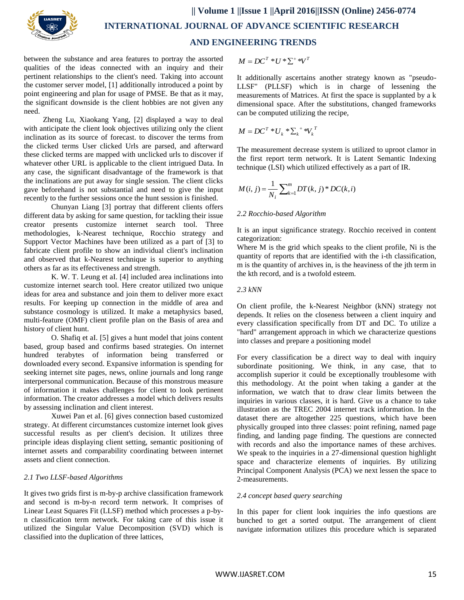

between the substance and area features to portray the assorted qualities of the ideas connected with an inquiry and their pertinent relationships to the client's need. Taking into account the customer server model, [1] additionally introduced a point by point engineering and plan for usage of PMSE. Be that as it may, the significant downside is the client hobbies are not given any need.

Zheng Lu, Xiaokang Yang, [2] displayed a way to deal with anticipate the client look objectives utilizing only the client inclination as its source of forecast. to discover the terms from the clicked terms User clicked Urls are parsed, and afterward these clicked terms are mapped with unclicked urls to discover if whatever other URL is applicable to the client intrigued Data. In any case, the significant disadvantage of the framework is that the inclinations are put away for single session. The client clicks gave beforehand is not substantial and need to give the input recently to the further sessions once the hunt session is finished.

Chunyan Liang [3] portray that different clients offers different data by asking for same question, for tackling their issue creator presents customize internet search tool. Three methodologies, k-Nearest technique, Rocchio strategy and Support Vector Machines have been utilized as a part of [3] to fabricate client profile to show an individual client's inclination and observed that k-Nearest technique is superior to anything others as far as its effectiveness and strength.

K. W. T. Leung et aI. [4] included area inclinations into customize internet search tool. Here creator utilized two unique ideas for area and substance and join them to deliver more exact results. For keeping up connection in the middle of area and substance cosmology is utilized. It make a metaphysics based, multi-feature (OMF) client profile plan on the Basis of area and history of client hunt.

O. Shafiq et aI. [5] gives a hunt model that joins content based, group based and confirms based strategies. On internet hundred terabytes of information being transferred or downloaded every second. Expansive information is spending for seeking internet site pages, news, online journals and long range interpersonal communication. Because of this monstrous measure of information it makes challenges for client to look pertinent information. The creator addresses a model which delivers results by assessing inclination and client interest.

Xuwei Pan et aI. [6] gives connection based customized strategy. At different circumstances customize internet look gives successful results as per client's decision. It utilizes three principle ideas displaying client setting, semantic positioning of internet assets and comparability coordinating between internet assets and client connection.

# *2.1 Two LLSF-based Algorithms*

It gives two grids first is m-by-p archive classification framework and second is m-by-n record term network. It comprises of Linear Least Squares Fit (LLSF) method which processes a p-byn classification term network. For taking care of this issue it utilized the Singular Value Decomposition (SVD) which is classified into the duplication of three lattices,

$$
M = DC^{T} * U * \Sigma^{+} * V^{T}
$$

It additionally ascertains another strategy known as "pseudo-LLSF" (PLLSF) which is in charge of lessening the measurements of Matrices. At first the space is supplanted by a k dimensional space. After the substitutions, changed frameworks can be computed utilizing the recipe,

$$
M = DC^{T} * U_{k} * \sum_{k} * V_{k}^{T}
$$

The measurement decrease system is utilized to uproot clamor in the first report term network. It is Latent Semantic Indexing technique (LSI) which utilized effectively as a part of IR.

$$
M(i, j) = \frac{1}{N_i} \sum_{k=1}^{m} DT(k, j)^* DC(k, i)
$$

# *2.2 Rocchio-based Algorithm*

It is an input significance strategy. Rocchio received in content categorization:

Where M is the grid which speaks to the client profile, Ni is the quantity of reports that are identified with the i-th classification, m is the quantity of archives in, is the heaviness of the jth term in the kth record, and is a twofold esteem.

#### *2.3 kNN*

On client profile, the k-Nearest Neighbor (kNN) strategy not depends. It relies on the closeness between a client inquiry and every classification specifically from DT and DC. To utilize a "hard" arrangement approach in which we characterize questions into classes and prepare a positioning model

For every classification be a direct way to deal with inquiry subordinate positioning. We think, in any case, that to accomplish superior it could be exceptionally troublesome with this methodology. At the point when taking a gander at the information, we watch that to draw clear limits between the inquiries in various classes, it is hard. Give us a chance to take illustration as the TREC 2004 internet track information. In the dataset there are altogether 225 questions, which have been physically grouped into three classes: point refining, named page finding, and landing page finding. The questions are connected with records and also the importance names of these archives. We speak to the inquiries in a 27-dimensional question highlight space and characterize elements of inquiries. By utilizing Principal Component Analysis (PCA) we next lessen the space to 2-measurements.

# *2.4 concept based query searching*

In this paper for client look inquiries the info questions are bunched to get a sorted output. The arrangement of client navigate information utilizes this procedure which is separated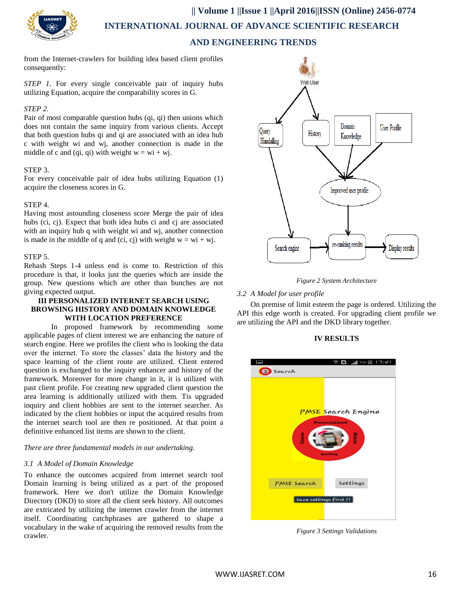

**|| Volume 1 ||Issue 1 ||April 2016||ISSN (Online) 2456-0774**

 **INTERNATIONAL JOURNAL OF ADVANCE SCIENTIFIC RESEARCH** 

# **AND ENGINEERING TRENDS**

from the Internet-crawlers for building idea based client profiles consequently:

*STEP 1.* For every single conceivable pair of inquiry hubs utilizing Equation, acquire the comparability scores in G.

#### *STEP 2.*

Pair of most comparable question hubs (qi, qi) then unions which does not contain the same inquiry from various clients. Accept that both question hubs qi and qi are associated with an idea hub c with weight wi and wj, another connection is made in the middle of c and (qi, qi) with weight  $w = wi + wi$ .

# STEP 3.

For every conceivable pair of idea hubs utilizing Equation (1) acquire the closeness scores in G.

#### STEP 4.

Having most astounding closeness score Merge the pair of idea hubs (ci, cj). Expect that both idea hubs ci and cj are associated with an inquiry hub q with weight wi and wj, another connection is made in the middle of q and (ci, cj) with weight  $w = wi + wi$ .

#### STEP 5.

Rehash Steps 1-4 unless end is come to. Restriction of this procedure is that, it looks just the queries which are inside the group. New questions which are other than bunches are not giving expected output.

#### **III PERSONALIZED INTERNET SEARCH USING BROWSING HISTORY AND DOMAIN KNOWLEDGE WITH LOCATION PREFERENCE**

In proposed framework by recommending some applicable pages of client interest we are enhancing the nature of search engine. Here we profiles the client who is looking the data over the internet. To store the classes' data the history and the space learning of the client route are utilized. Client entered question is exchanged to the inquiry enhancer and history of the framework. Moreover for more change in it, it is utilized with past client profile. For creating new upgraded client question the area learning is additionally utilized with them. Tis upgraded inquiry and client hobbies are sent to the internet searcher. As indicated by the client hobbies or input the acquired results from the internet search tool are then re positioned. At that point a definitive enhanced list items are shown to the client.

#### *There are three fundamental models in our undertaking.*

# *3.1 A Model of Domain Knowledge*

To enhance the outcomes acquired from internet search tool Domain learning is being utilized as a part of the proposed framework. Here we don't utilize the Domain Knowledge Directory (DKD) to store all the client seek history. All outcomes are extricated by utilizing the internet crawler from the internet itself. Coordinating catchphrases are gathered to shape a vocabulary in the wake of acquiring the removed results from the crawler.





# *3.2 A Model for user profile*

On premise of limit esteem the page is ordered. Utilizing the API this edge worth is created. For upgrading client profile we are utilizing the API and the DKD library together.

#### **IV RESULTS**



*Figure 3 Settings Validations*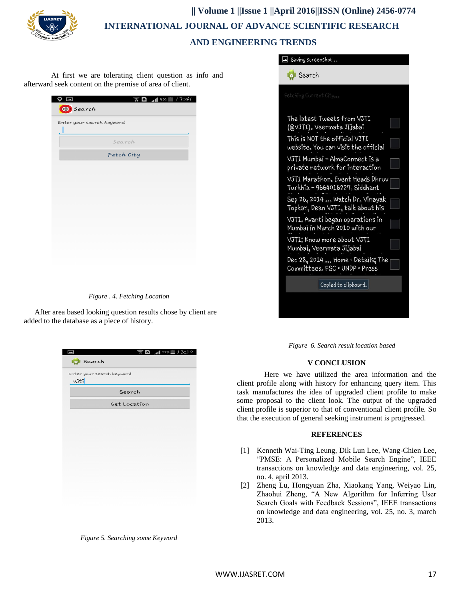

# **|| Volume 1 ||Issue 1 ||April 2016||ISSN (Online) 2456-0774 INTERNATIONAL JOURNAL OF ADVANCE SCIENTIFIC RESEARCH AND ENGINEERING TRENDS**

At first we are tolerating client question as info and afterward seek content on the premise of area of client.

| $\bullet$ $\blacksquare$<br>Search | $\widehat{\mathbb{R}}$ <b>n</b> and $\mathbb{R}$ and $\mathbb{R}$ if $\mathbb{R}$ if $\mathbb{R}$ if $\mathbb{R}$ if $\mathbb{R}$ if $\mathbb{R}$ if $\mathbb{R}$ if $\mathbb{R}$ if $\mathbb{R}$ if $\mathbb{R}$ if $\mathbb{R}$ if $\mathbb{R}$ if $\mathbb{R}$ if $\mathbb{R}$ if $\mathbb{R}$ if $\mathbb{R}$ |
|------------------------------------|-------------------------------------------------------------------------------------------------------------------------------------------------------------------------------------------------------------------------------------------------------------------------------------------------------------------|
|                                    | Enter your search keyword                                                                                                                                                                                                                                                                                         |
|                                    | Search                                                                                                                                                                                                                                                                                                            |
|                                    | Fetch City                                                                                                                                                                                                                                                                                                        |
|                                    |                                                                                                                                                                                                                                                                                                                   |
|                                    |                                                                                                                                                                                                                                                                                                                   |
|                                    |                                                                                                                                                                                                                                                                                                                   |
|                                    |                                                                                                                                                                                                                                                                                                                   |
|                                    |                                                                                                                                                                                                                                                                                                                   |
|                                    |                                                                                                                                                                                                                                                                                                                   |
|                                    |                                                                                                                                                                                                                                                                                                                   |
|                                    |                                                                                                                                                                                                                                                                                                                   |
|                                    |                                                                                                                                                                                                                                                                                                                   |
|                                    |                                                                                                                                                                                                                                                                                                                   |

*Figure . 4. Fetching Location*

After area based looking question results chose by client are added to the database as a piece of history.

| Enter your search keyword |              |  |  |
|---------------------------|--------------|--|--|
| $v$ ůti                   |              |  |  |
|                           | Search       |  |  |
|                           | Get Location |  |  |
|                           |              |  |  |
|                           |              |  |  |
|                           |              |  |  |
|                           |              |  |  |
|                           |              |  |  |
|                           |              |  |  |
|                           |              |  |  |
|                           |              |  |  |
|                           |              |  |  |

*Figure 5. Searching some Keyword*

| Search<br>Fetching Current City<br>The latest Tweets from VJTI       |
|----------------------------------------------------------------------|
|                                                                      |
|                                                                      |
| (@VJTI). Veermata Jijabai                                            |
| This is NOT the official VJTI<br>website. You can visit the official |
| VJTI Mumbai - AlmaConnect is a<br>private network for interaction    |
| VJTI Marathon. Event Heads Dhruv<br>Turkhia – 9664016227. Siddhant   |
| Sep 26, 2014  Watch Dr. Vinayak<br>Topkar, Dean VJTI, talk about his |
| VJTI. Avanti began operations in<br>Mumbai in March 2010 with our    |
| VJTI: Know more about VJTI<br>Mumbai, Veermata Jijabai               |
| Dec 28, 2014  Home · Details; The<br>Committees。FSC。UNDP。Press       |
| Copied to clipboard.                                                 |

*Figure 6. Search result location based*

# **V CONCLUSION**

Here we have utilized the area information and the client profile along with history for enhancing query item. This task manufactures the idea of upgraded client profile to make some proposal to the client look. The output of the upgraded client profile is superior to that of conventional client profile. So that the execution of general seeking instrument is progressed.

#### **REFERENCES**

- [1] Kenneth Wai-Ting Leung, Dik Lun Lee, Wang-Chien Lee, "PMSE: A Personalized Mobile Search Engine", IEEE transactions on knowledge and data engineering, vol. 25, no. 4, april 2013.
- [2] Zheng Lu, Hongyuan Zha, Xiaokang Yang, Weiyao Lin, Zhaohui Zheng, "A New Algorithm for Inferring User Search Goals with Feedback Sessions", IEEE transactions on knowledge and data engineering, vol. 25, no. 3, march 2013.